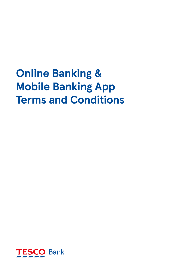# **Online Banking & Mobile Banking App Terms and Conditions**

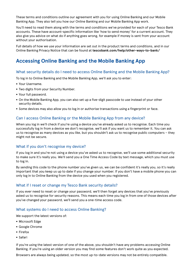These terms and conditions outline our agreement with you for using Online Banking and our Mobile Banking App. They also tell you how our Online Banking and our Mobile Banking App work.

You'll need to read them along with the terms and conditions we've provided for each of your Tesco Bank accounts. These have account-specific information like 'how to send money' for a current account. They also give you advice on what do if anything goes wrong, for example if money is sent from your account without your authorisation.

Full details of how we use your information are set out in the product terms and conditions, and in our Online Banking Privacy Notice that can be found at **[tescobank.com/help/other-ways-to-bank/](https://www.tescobank.com/help/other-ways-to-bank/)**

## **Accessing Online Banking and the Mobile Banking App**

#### What security details do I need to access Online Banking and the Mobile Banking App?

To log in to Online Banking and the Mobile Banking App, we'll ask you to enter:

- Your Username.
- Two digits from your Security Number.
- Your full password.
- On the Mobile Banking App, you can also set up a five-digit passcode to use instead of your other security details.
- Some devices may also allow you to log in or authorise transactions using a fingerprint or face.

#### Can I access Online Banking or the Mobile Banking App from any device?

When you log in we'll check if you're using a device you've already asked us to recognise. Each time you successfully log in from a device we don't recognise, we'll ask if you want us to remember it. You can ask us to recognise as many devices as you like, but you shouldn't ask us to recognise public computers – they might not be secure.

#### What if you don't recognise my device?

If you log in and you're not using a device you've asked us to recognise, we'll use some additional security to make sure it's really you. We'll send you a One Time Access Code by text message, which you must use to log in.

By sending this code to the phone number you've given us, we can be confident it's really you, so it's really important that you keep us up to date if you change your number. If you don't have a mobile phone you can only log in to Online Banking from the device you used when you registered.

#### What if I reset or change my Tesco Bank security details?

If you ever need to reset or change your password, we'll then forget any devices that you've previously asked us to recognise for security reasons. This means each time you log in from one of those devices after you've changed your password, we'll send you a one-time access code.

#### What systems do I need to access Online Banking?

We support the latest versions of:

- Microsoft Edge
- Google Chrome
- Firefox
- Safari

If you're using the latest version of one of the above, you shouldn't have any problems accessing Online Banking. If you're using an older version you may find some features don't work quite as you expected.

Browsers are always being updated, so the most up-to-date versions may not be entirely compatible.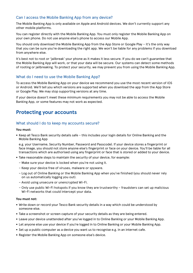#### Can I access the Mobile Banking App from any device?

The Mobile Banking App is only available on Apple and Android devices. We don't currently support any other mobile platforms.

You can register directly with the Mobile Banking App. You must only register the Mobile Banking App on your own phone. Do not use anyone else's phone to access our Mobile App.

You should only download the Mobile Banking App from the App Store or Google Play – it's the only way that you can be sure you're downloading the right app. We won't be liable for any problems if you download from anywhere else.

It's best not to root or 'jailbreak' your phone as it makes it less secure. If you do we can't guarantee that the Mobile Banking App will work, or that your data will be secure. Our systems can detect some methods of rooting or jailbreaking. To protect your security, we may prevent you from using the Mobile Banking App.

#### What do I need to use the Mobile Banking App?

To access the Mobile Banking App on your device we recommend you use the most recent version of iOS or Android. We'll tell you which versions are supported when you download the app from the App Store or Google Play. We may stop supporting versions at any time.

If your device doesn't meet these minimum requirements you may not be able to access the Mobile Banking App, or some features may not work as expected.

## **Protecting your accounts**

#### What should I do to keep my accounts secure?

#### **You must:**

• Keep all Tesco Bank security details safe – this includes your login details for Online Banking and the Mobile Banking App

e.g. your Username, Security Number, Password and Passcode). If your device stores a fingerprint or face image, you should not store anyone else's fingerprint or face on your device. You'll be liable for all transactions which are authorised using any fingerprint or face that is stored or added to your device.

- Take reasonable steps to maintain the security of your device, for example:
	- Make sure your device is locked when you're not using it.
	- Keep your device free of viruses, malware or spyware.
	- Log out of Online Banking or the Mobile Banking App when you've finished (you should never rely on us automatically logging you out).
	- Avoid using unsecure or unencrypted Wi-Fi.
	- Only use public Wi-Fi hotspots if you know they are trustworthy fraudsters can set up malicious Wi-Fi networks that could intercept your data.

#### **You must not:**

- Write down or record your Tesco Bank security details in a way which could be understood by someone else.
- Take a screenshot or screen capture of your security details as they are being entered.
- Leave your device unattended after you've logged in to Online Banking or your Mobile Banking App.
- Let anyone else use your device if you're logged in to Online Banking or your Mobile Banking App.
- Set up a public computer as a device you want us to recognise e.g. in an internet cafe.
- Register the Mobile Banking App on someone else's device.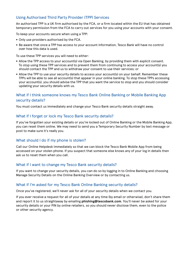#### Using Authorised Third Party Provider (TPP) Services

An authorised TPP is a UK firm authorised by the FCA, or a firm located within the EU that has obtained temporary permission from the FCA to carry out services for you using your accounts with your consent.

To keep your accounts secure when using a TPP:

- Only use providers authorised by the FCA.
- Be aware that once a TPP has access to your account information, Tesco Bank will have no control over how this data is used.

To use these TPP services you will need to either:

- Allow the TPP access to your account(s) via Open Banking, by providing them with explicit consent. To stop using these TPP services and to prevent them from continuing to access your account(s) you should contact the TPP and us to withdraw your consent to use their services; or
- Allow the TPP to use your security details to access your account(s) on your behalf. Remember these TPPs will be able to see all account(s) that appear in your online banking. To stop these TPPs accessing your account(s), you should advise the TPP that you want the service to stop and you should consider updating your security details with us.

#### What if I think someone knows my Tesco Bank Online Banking or Mobile Banking App security details?

You must contact us immediately and change your Tesco Bank security details straight away.

## What if I forget or lock my Tesco Bank security details?

If you've forgotten your existing details or you're locked out of Online Banking or the Mobile Banking App, you can reset them online. We may need to send you a Temporary Security Number by text message or post to make sure it's really you.

## What should I do if my phone is stolen?

Call our Online Helpdesk immediately so that we can block the Tesco Bank Mobile App from being accessed on your stolen phone. If you suspect that someone else knows any of your log in details then ask us to reset them when you call.

#### What if I want to change my Tesco Bank security details?

If you want to change your security details, you can do so by logging in to Online Banking and choosing Manage Security Details on the Online Banking Overview or by contacting us.

#### What if I'm asked for my Tesco Bank Online Banking security details?

Once you've registered, we'll never ask for all of your security details when we contact you.

If you ever receive a request for all of your details at any time (by email or otherwise), don't share them and report it to us straightaway by emailing **[phishing@tescobank.com](mailto:phishing%40tescobank.com?subject=)**. You'll never be asked for your security details or your PIN by online retailers, so you should never disclose them, even to the police or other security agency.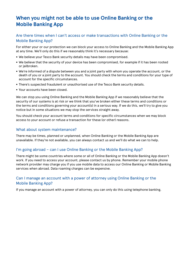# **When you might not be able to use Online Banking or the Mobile Banking App**

#### Are there times when I can't access or make transactions with Online Banking or the Mobile Banking App?

For either your or our protection we can block your access to Online Banking and the Mobile Banking App at any time. We'll only do this if we reasonably think it's necessary because:

- We believe your Tesco Bank security details may have been compromised.
- We believe that the security of your device has been compromised, for example if it has been rooted or jailbroken.
- We're informed of a dispute between you and a joint party with whom you operate the account, or the death of you or a joint party to the account. You should check the terms and conditions for your type of account for the specific circumstances.
- There's suspected fraudulent or unauthorised use of the Tesco Bank security details.
- Your accounts have been closed.

We can stop you using Online Banking and the Mobile Banking App if we reasonably believe that the security of our systems is at risk or we think that you've broken either these terms and conditions or the terms and conditions governing your account(s) in a serious way. If we do this, we'll try to give you notice but in some situations we may stop the services straight away.

You should check your account terms and conditions for specific circumstances when we may block access to your account or refuse a transaction for these (or other) reasons.

#### What about system maintenance?

There may be times, planned or unplanned, when Online Banking or the Mobile Banking App are unavailable. If they're not available, you can always contact us and we'll do what we can to help.

#### I'm going abroad – can I use Online Banking or the Mobile Banking App?

There might be some countries where some or all of Online Banking or the Mobile Banking App doesn't work. If you need to access your account, please contact us by phone. Remember your mobile phone network provider may charge you if you use mobile data to access our Online Banking or Mobile Banking services when abroad. Data roaming charges can be expensive.

## Can I manage an account with a power of attorney using Online Banking or the Mobile Banking App?

If you manage an account with a power of attorney, you can only do this using telephone banking.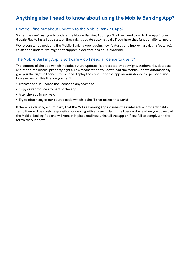# **Anything else I need to know about using the Mobile Banking App?**

#### How do I find out about updates to the Mobile Banking App?

Sometimes we'll ask you to update the Mobile Banking App – you'll either need to go to the App Store/ Google Play to install updates; or they might update automatically if you have that functionality turned on.

We're constantly updating the Mobile Banking App (adding new features and improving existing features), so after an update, we might not support older versions of iOS/Android.

#### The Mobile Banking App is software – do I need a licence to use it?

The content of the app (which includes future updates) is protected by copyright, trademarks, database and other intellectual property rights. This means when you download the Mobile App we automatically give you the right (a licence) to use and display the content of the app on your device for personal use. However under this licence you can't:

- Transfer or sub-license the licence to anybody else.
- Copy or reproduce any part of the app.
- Alter the app in any way.
- Try to obtain any of our source code (which is the IT that makes this work).

If there is a claim by a third party that the Mobile Banking App infringes their intellectual property rights, Tesco Bank will be solely responsible for dealing with any such claim. The licence starts when you download the Mobile Banking App and will remain in place until you uninstall the app or if you fail to comply with the terms set out above.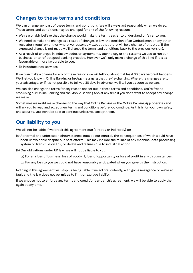## **Changes to these terms and conditions**

We can change any part of these terms and conditions. We will always act reasonably when we do so. These terms and conditions may be changed for any of the following reasons:

- We reasonably believe that the change would make the terms easier to understand or fairer to you.
- We need to make the change as a result of changes in law, the decision of an Ombudsman or any other regulatory requirement (or where we reasonably expect that there will be a change of this type. If the expected change is not made we'll change the terms and conditions back to the previous version).
- As a result of changes in industry codes or agreements, technology or the systems we use to run our business, or to reflect good banking practice. However we'll only make a change of this kind if it is as favourable or more favourable to you.
- To introduce new services.

If we plan make a change for any of these reasons we will tell you about it at least 30 days before it happens. We'll let you know in Online Banking or in-App messaging that they're changing. Where the changes are to your advantage, or if it's not possible to tell you 30 days in advance, we'll tell you as soon as we can.

We can also change the terms for any reason not set out in these terms and conditions. You're free to stop using our Online Banking and the Mobile Banking App at any time if you don't want to accept any change we make.

Sometimes we might make changes to the way that Online Banking or the Mobile Banking App operates and will ask you to read and accept new terms and conditions before you continue. As this is for your own safety and security, you won't be able to continue unless you accept them.

## **Our liability to you**

We will not be liable if we break this agreement due (directly or indirectly) to:

- (a) Abnormal and unforeseen circumstances outside our control, the consequences of which would have been unavoidable despite our best efforts. This may include the failure of any machine, data processing system or transmission link, or delays and failures due to industrial action.
- (b) Our obligations under UK law. We will not be liable to you:

(a) For any loss of business, loss of goodwill, loss of opportunity or loss of profit in any circumstances.

(b) For any loss to you we could not have reasonably anticipated when you gave us the instruction.

Nothing in this agreement will stop us being liable if we act fraudulently, with gross negligence or we're at fault and the law does not permit us to limit or exclude liability.

If we choose not to enforce any terms and conditions under this agreement, we will be able to apply them again at any time.